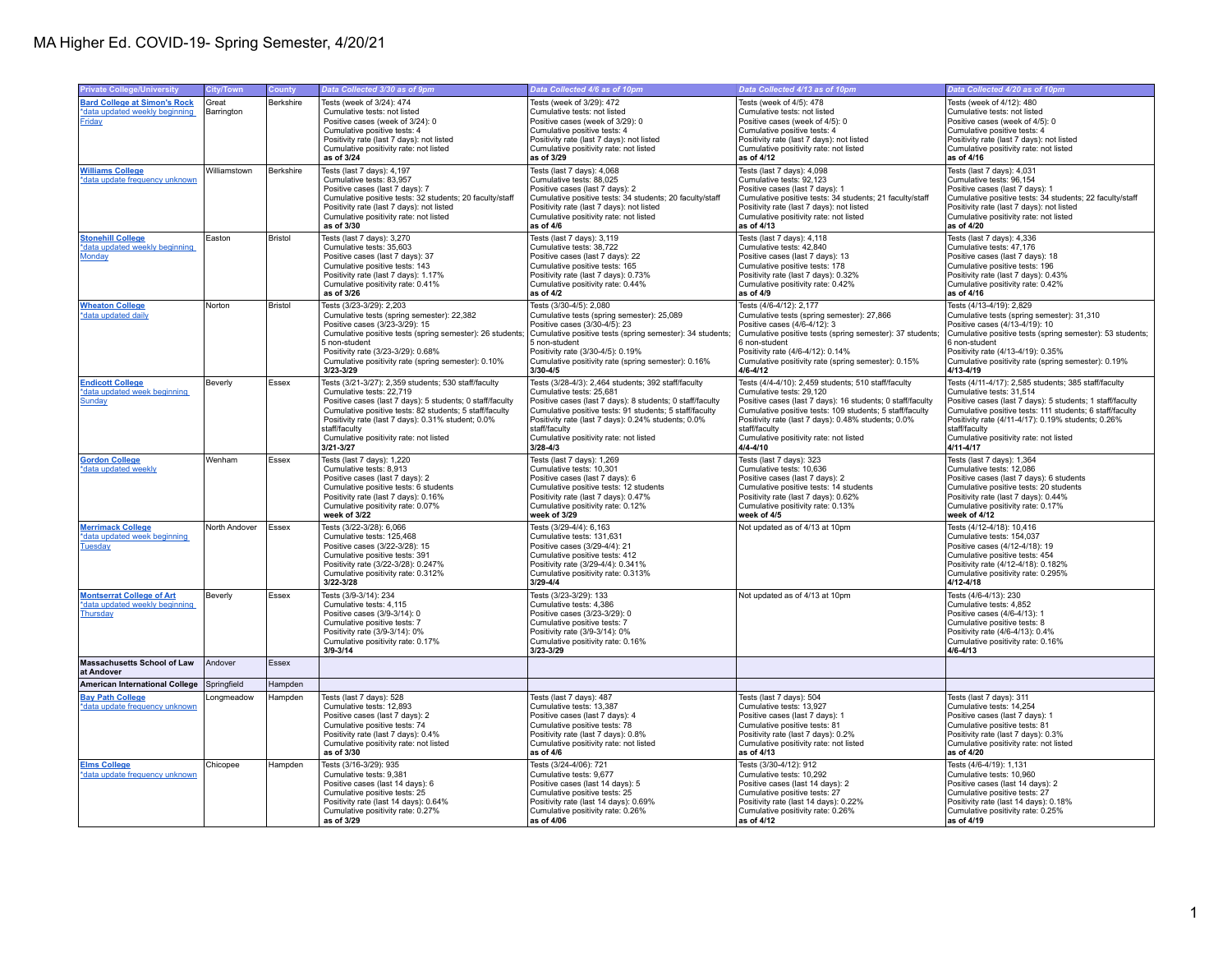| <b>Private College/University</b>                                                     | City/Town           | <b>County</b>  | Data Collected 3/30 as of 9pm                                                                                                                                                                                                                                                                                                          | Data Collected 4/6 as of 10pm                                                                                                                                                                                                                                                                                                             | Data Collected 4/13 as of 10pm                                                                                                                                                                                                                                                                                                          | Data Collected 4/20 as of 10pm                                                                                                                                                                                                                                                                                                              |
|---------------------------------------------------------------------------------------|---------------------|----------------|----------------------------------------------------------------------------------------------------------------------------------------------------------------------------------------------------------------------------------------------------------------------------------------------------------------------------------------|-------------------------------------------------------------------------------------------------------------------------------------------------------------------------------------------------------------------------------------------------------------------------------------------------------------------------------------------|-----------------------------------------------------------------------------------------------------------------------------------------------------------------------------------------------------------------------------------------------------------------------------------------------------------------------------------------|---------------------------------------------------------------------------------------------------------------------------------------------------------------------------------------------------------------------------------------------------------------------------------------------------------------------------------------------|
| <b>Bard College at Simon's Rock</b><br>data updated weekly beginning<br><b>Friday</b> | Great<br>Barrington | Berkshire      | Tests (week of 3/24): 474<br>Cumulative tests: not listed<br>Positive cases (week of 3/24): 0<br>Cumulative positive tests: 4<br>Positivity rate (last 7 days): not listed<br>Cumulative positivity rate: not listed<br>as of 3/24                                                                                                     | Tests (week of 3/29): 472<br>Cumulative tests: not listed<br>Positive cases (week of 3/29): 0<br>Cumulative positive tests: 4<br>Positivity rate (last 7 days): not listed<br>Cumulative positivity rate: not listed<br>as of 3/29                                                                                                        | Tests (week of 4/5): 478<br>Cumulative tests: not listed<br>Positive cases (week of 4/5): 0<br>Cumulative positive tests: 4<br>Positivity rate (last 7 days): not listed<br>Cumulative positivity rate: not listed<br>as of 4/12                                                                                                        | Tests (week of 4/12): 480<br>Cumulative tests: not listed<br>Positive cases (week of 4/5): 0<br>Cumulative positive tests: 4<br>Positivity rate (last 7 days): not listed<br>Cumulative positivity rate: not listed<br>as of 4/16                                                                                                           |
| <b>Williams College</b><br>*data update frequency unknown                             | Williamstown        | Berkshire      | Tests (last 7 days): 4,197<br>Cumulative tests: 83,957<br>Positive cases (last 7 days): 7<br>Cumulative positive tests: 32 students; 20 faculty/staff<br>Positivity rate (last 7 days): not listed<br>Cumulative positivity rate: not listed<br>as of 3/30                                                                             | Tests (last 7 days): 4,068<br>Cumulative tests: 88,025<br>Positive cases (last 7 days): 2<br>Cumulative positive tests: 34 students; 20 faculty/staff<br>Positivity rate (last 7 days): not listed<br>Cumulative positivity rate: not listed<br>as of 4/6                                                                                 | Tests (last 7 days): 4,098<br>Cumulative tests: 92,123<br>Positive cases (last 7 days): 1<br>Cumulative positive tests: 34 students; 21 faculty/staff<br>Positivity rate (last 7 days): not listed<br>Cumulative positivity rate: not listed<br>as of 4/13                                                                              | Tests (last 7 days): 4,031<br>Cumulative tests: 96,154<br>Positive cases (last 7 days): 1<br>Cumulative positive tests: 34 students; 22 faculty/staff<br>Positivity rate (last 7 days): not listed<br>Cumulative positivity rate: not listed<br>as of 4/20                                                                                  |
| <b>Stonehill College</b><br>*data updated weekly beginning<br>Monday                  | Easton              | Bristol        | Tests (last 7 days): 3,270<br>Cumulative tests: 35,603<br>Positive cases (last 7 days): 37<br>Cumulative positive tests: 143<br>Positivity rate (last 7 days): 1.17%<br>Cumulative positivity rate: 0.41%<br>as of 3/26                                                                                                                | Tests (last 7 days): 3,119<br>Cumulative tests: 38,722<br>Positive cases (last 7 days): 22<br>Cumulative positive tests: 165<br>Positivity rate (last 7 days): 0.73%<br>Cumulative positivity rate: 0.44%<br>as of 4/2                                                                                                                    | Tests (last 7 days): 4,118<br>Cumulative tests: 42,840<br>Positive cases (last 7 days): 13<br>Cumulative positive tests: 178<br>Positivity rate (last 7 days): 0.32%<br>Cumulative positivity rate: 0.42%<br>as of 4/9                                                                                                                  | Tests (last 7 days): 4,336<br>Cumulative tests: 47,176<br>Positive cases (last 7 days): 18<br>Cumulative positive tests: 196<br>Positivity rate (last 7 days): 0.43%<br>Cumulative positivity rate: 0.42%<br>as of 4/16                                                                                                                     |
| <b>Wheaton College</b><br>*data updated daily                                         | Norton              | <b>Bristol</b> | Tests (3/23-3/29): 2,203<br>Cumulative tests (spring semester): 22,382<br>Positive cases (3/23-3/29): 15<br>Cumulative positive tests (spring semester): 26 students;<br>5 non-student<br>Positivity rate (3/23-3/29): 0.68%<br>Cumulative positivity rate (spring semester): 0.10%<br>3/23-3/29                                       | Tests (3/30-4/5): 2,080<br>Cumulative tests (spring semester): 25,089<br>Positive cases (3/30-4/5): 23<br>Cumulative positive tests (spring semester): 34 students;<br>5 non-student<br>Positivity rate (3/30-4/5): 0.19%<br>Cumulative positivity rate (spring semester): 0.16%<br>$3/30 - 4/5$                                          | Tests (4/6-4/12): 2,177<br>Cumulative tests (spring semester): 27,866<br>Positive cases (4/6-4/12): 3<br>Cumulative positive tests (spring semester): 37 students;<br>6 non-student<br>Positivity rate (4/6-4/12): 0.14%<br>Cumulative positivity rate (spring semester): 0.15%<br>4/6-4/12                                             | Tests (4/13-4/19): 2,829<br>Cumulative tests (spring semester): 31,310<br>Positive cases (4/13-4/19): 10<br>Cumulative positive tests (spring semester): 53 students;<br>6 non-student<br>Positivity rate (4/13-4/19): 0.35%<br>Cumulative positivity rate (spring semester): 0.19%<br>$4/13 - 4/19$                                        |
| <b>Endicott College</b><br>*data updated week beginning<br><b>Sunday</b>              | Beverly             | Essex          | Tests (3/21-3/27): 2,359 students; 530 staff/faculty<br>Cumulative tests: 22,719<br>Positive cases (last 7 days): 5 students; 0 staff/faculty<br>Cumulative positive tests: 82 students; 5 staff/faculty<br>Positivity rate (last 7 days): 0.31% student; 0.0%<br>staff/faculty<br>Cumulative positivity rate: not listed<br>3/21-3/27 | Tests (3/28-4/3): 2,464 students; 392 staff/faculty<br>Cumulative tests: 25,681<br>Positive cases (last 7 days): 8 students; 0 staff/faculty<br>Cumulative positive tests: 91 students; 5 staff/faculty<br>Positivity rate (last 7 days): 0.24% students; 0.0%<br>staff/faculty<br>Cumulative positivity rate: not listed<br>$3/28 - 4/3$ | Tests (4/4-4/10): 2,459 students; 510 staff/faculty<br>Cumulative tests: 29,120<br>Positive cases (last 7 days): 16 students; 0 staff/faculty<br>Cumulative positive tests: 109 students; 5 staff/faculty<br>Positivity rate (last 7 days): 0.48% students; 0.0%<br>staff/faculty<br>Cumulative positivity rate: not listed<br>4/4-4/10 | Tests (4/11-4/17): 2.585 students: 385 staff/faculty<br>Cumulative tests: 31,514<br>Positive cases (last 7 days): 5 students; 1 staff/faculty<br>Cumulative positive tests: 111 students; 6 staff/faculty<br>Positivity rate (4/11-4/17): 0.19% students; 0.26%<br>staff/faculty<br>Cumulative positivity rate: not listed<br>$4/11 - 4/17$ |
| <b>Gordon College</b><br>*data updated weekly                                         | Wenham              | Essex          | Tests (last 7 days): 1.220<br>Cumulative tests: 8.913<br>Positive cases (last 7 days): 2<br>Cumulative positive tests: 6 students<br>Positivity rate (last 7 days): 0.16%<br>Cumulative positivity rate: 0.07%<br>week of 3/22                                                                                                         | Tests (last 7 days): 1.269<br>Cumulative tests: 10.301<br>Positive cases (last 7 days): 6<br>Cumulative positive tests: 12 students<br>Positivity rate (last 7 days): 0.47%<br>Cumulative positivity rate: 0.12%<br>week of 3/29                                                                                                          | Tests (last 7 days): 323<br>Cumulative tests: 10,636<br>Positive cases (last 7 days): 2<br>Cumulative positive tests: 14 students<br>Positivity rate (last 7 days): 0.62%<br>Cumulative positivity rate: 0.13%<br>week of 4/5                                                                                                           | Tests (last 7 days): 1.364<br>Cumulative tests: 12,086<br>Positive cases (last 7 days): 6 students<br>Cumulative positive tests: 20 students<br>Positivity rate (last 7 days): 0.44%<br>Cumulative positivity rate: 0.17%<br>week of 4/12                                                                                                   |
| <b>Merrimack College</b><br>*data updated week beginning<br><b>Tuesday</b>            | North Andover       | Essex          | Tests (3/22-3/28): 6,066<br>Cumulative tests: 125,468<br>Positive cases (3/22-3/28): 15<br>Cumulative positive tests: 391<br>Positivity rate (3/22-3/28): 0.247%<br>Cumulative positivity rate: 0.312%<br>3/22-3/28                                                                                                                    | Tests (3/29-4/4): 6,163<br>Cumulative tests: 131,631<br>Positive cases (3/29-4/4): 21<br>Cumulative positive tests: 412<br>Positivity rate (3/29-4/4): 0.341%<br>Cumulative positivity rate: 0.313%<br>$3/29 - 4/4$                                                                                                                       | Not updated as of 4/13 at 10pm                                                                                                                                                                                                                                                                                                          | Tests (4/12-4/18): 10,416<br>Cumulative tests: 154,037<br>Positive cases (4/12-4/18): 19<br>Cumulative positive tests: 454<br>Positivity rate (4/12-4/18): 0.182%<br>Cumulative positivity rate: 0.295%<br>$4/12 - 4/18$                                                                                                                    |
| <b>Montserrat College of Art</b><br>*data updated weekly beginning<br>Thursday        | Beverly             | Essex          | Tests (3/9-3/14): 234<br>Cumulative tests: 4.115<br>Positive cases (3/9-3/14): 0<br>Cumulative positive tests: 7<br>Positivity rate (3/9-3/14): 0%<br>Cumulative positivity rate: 0.17%<br>$3/9 - 3/14$                                                                                                                                | Tests (3/23-3/29): 133<br>Cumulative tests: 4.386<br>Positive cases (3/23-3/29): 0<br>Cumulative positive tests: 7<br>Positivity rate (3/9-3/14): 0%<br>Cumulative positivity rate: 0.16%<br>3/23-3/29                                                                                                                                    | Not updated as of 4/13 at 10pm                                                                                                                                                                                                                                                                                                          | Tests (4/6-4/13): 230<br>Cumulative tests: 4.852<br>Positive cases (4/6-4/13): 1<br>Cumulative positive tests: 8<br>Positivity rate (4/6-4/13): 0.4%<br>Cumulative positivity rate: 0.16%<br>$4/6 - 4/13$                                                                                                                                   |
| <b>Massachusetts School of Law</b><br>at Andover                                      | Andover             | Essex          |                                                                                                                                                                                                                                                                                                                                        |                                                                                                                                                                                                                                                                                                                                           |                                                                                                                                                                                                                                                                                                                                         |                                                                                                                                                                                                                                                                                                                                             |
| <b>American International College</b>                                                 | Springfield         | Hampden        |                                                                                                                                                                                                                                                                                                                                        |                                                                                                                                                                                                                                                                                                                                           |                                                                                                                                                                                                                                                                                                                                         |                                                                                                                                                                                                                                                                                                                                             |
| <b>Bay Path College</b><br>*data update frequency unknown                             | Lonameadow          | Hampden        | Tests (last 7 days): 528<br>Cumulative tests: 12,893<br>Positive cases (last 7 days): 2<br>Cumulative positive tests: 74<br>Positivity rate (last 7 days): 0.4%<br>Cumulative positivity rate: not listed<br>as of 3/30                                                                                                                | Tests (last 7 days): 487<br>Cumulative tests: 13,387<br>Positive cases (last 7 days): 4<br>Cumulative positive tests: 78<br>Positivity rate (last 7 days): 0.8%<br>Cumulative positivity rate: not listed<br>as of 4/6                                                                                                                    | Tests (last 7 days): 504<br>Cumulative tests: 13,927<br>Positive cases (last 7 days): 1<br>Cumulative positive tests: 81<br>Positivity rate (last 7 days): 0.2%<br>Cumulative positivity rate: not listed<br>as of 4/13                                                                                                                 | Tests (last 7 days): 311<br>Cumulative tests: 14,254<br>Positive cases (last 7 days): 1<br>Cumulative positive tests: 81<br>Positivity rate (last 7 days): 0.3%<br>Cumulative positivity rate: not listed<br>as of 4/20                                                                                                                     |
| <b>Elms College</b><br>*data update frequency unknown                                 | Chicopee            | Hampden        | Tests (3/16-3/29): 935<br>Cumulative tests: 9.381<br>Positive cases (last 14 days): 6<br>Cumulative positive tests: 25<br>Positivity rate (last 14 days): 0.64%<br>Cumulative positivity rate: 0.27%<br>as of 3/29                                                                                                                     | Tests (3/24-4/06): 721<br>Cumulative tests: 9,677<br>Positive cases (last 14 days): 5<br>Cumulative positive tests: 25<br>Positivity rate (last 14 days): 0.69%<br>Cumulative positivity rate: 0.26%<br>as of 4/06                                                                                                                        | Tests (3/30-4/12): 912<br>Cumulative tests: 10.292<br>Positive cases (last 14 days): 2<br>Cumulative positive tests: 27<br>Positivity rate (last 14 days): 0.22%<br>Cumulative positivity rate: 0.26%<br>as of 4/12                                                                                                                     | Tests (4/6-4/19): 1,131<br>Cumulative tests: 10.960<br>Positive cases (last 14 days): 2<br>Cumulative positive tests: 27<br>Positivity rate (last 14 days): 0.18%<br>Cumulative positivity rate: 0.25%<br>as of 4/19                                                                                                                        |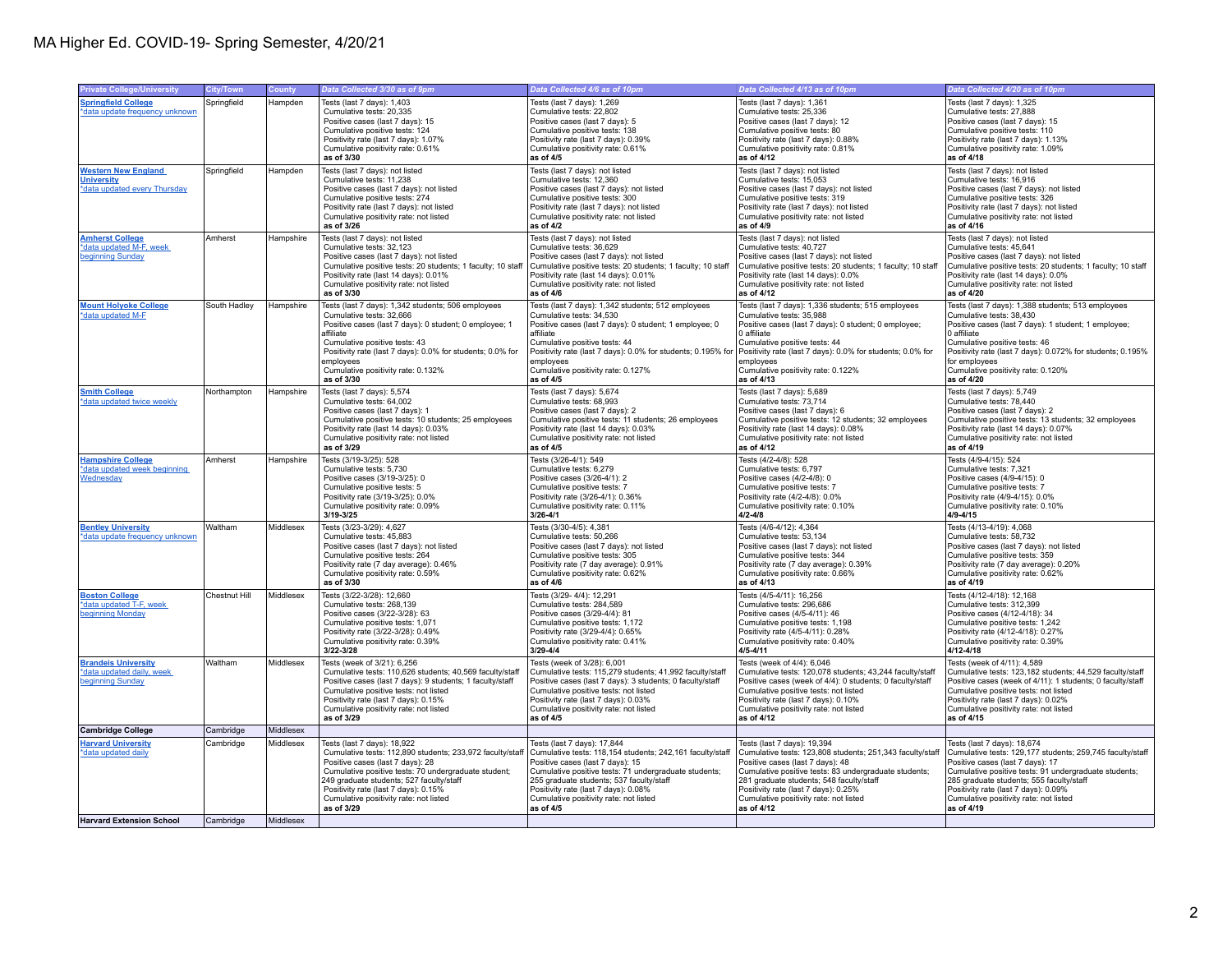| <b>Private College/University</b>                                               | City/Town     | County    | Data Collected 3/30 as of 9pm                                                                                                                                                                                                                                                                                                    | Data Collected 4/6 as of 10pm                                                                                                                                                                                                                                                                                                    | Data Collected 4/13 as of 10pm                                                                                                                                                                                                                                                                                                    | Data Collected 4/20 as of 10pm                                                                                                                                                                                                                                                                                                    |
|---------------------------------------------------------------------------------|---------------|-----------|----------------------------------------------------------------------------------------------------------------------------------------------------------------------------------------------------------------------------------------------------------------------------------------------------------------------------------|----------------------------------------------------------------------------------------------------------------------------------------------------------------------------------------------------------------------------------------------------------------------------------------------------------------------------------|-----------------------------------------------------------------------------------------------------------------------------------------------------------------------------------------------------------------------------------------------------------------------------------------------------------------------------------|-----------------------------------------------------------------------------------------------------------------------------------------------------------------------------------------------------------------------------------------------------------------------------------------------------------------------------------|
| <b>Springfield College</b><br>*data update frequency unknown                    | Springfield   | Hampden   | Tests (last 7 days): 1,403<br>Cumulative tests: 20,335<br>Positive cases (last 7 days): 15<br>Cumulative positive tests: 124<br>Positivity rate (last 7 days): 1.07%                                                                                                                                                             | Tests (last 7 days): 1,269<br>Cumulative tests: 22,802<br>Positive cases (last 7 days): 5<br>Cumulative positive tests: 138<br>Positivity rate (last 7 days): 0.39%                                                                                                                                                              | Tests (last 7 days): 1,361<br>Cumulative tests: 25,336<br>Positive cases (last 7 days): 12<br>Cumulative positive tests: 80<br>Positivity rate (last 7 days): 0.88%                                                                                                                                                               | Tests (last 7 days): 1,325<br>Cumulative tests: 27,888<br>Positive cases (last 7 days): 15<br>Cumulative positive tests: 110<br>Positivity rate (last 7 days): 1.13%                                                                                                                                                              |
|                                                                                 |               |           | Cumulative positivity rate: 0.61%<br>as of 3/30                                                                                                                                                                                                                                                                                  | Cumulative positivity rate: 0.61%<br>as of 4/5                                                                                                                                                                                                                                                                                   | Cumulative positivity rate: 0.81%<br>as of 4/12                                                                                                                                                                                                                                                                                   | Cumulative positivity rate: 1.09%<br>as of 4/18                                                                                                                                                                                                                                                                                   |
| <b>Western New England</b><br><b>University</b><br>*data updated every Thursday | Springfield   | Hampden   | Tests (last 7 days): not listed<br>Cumulative tests: 11,238<br>Positive cases (last 7 days): not listed<br>Cumulative positive tests: 274<br>Positivity rate (last 7 days): not listed<br>Cumulative positivity rate: not listed<br>as of 3/26                                                                                   | Tests (last 7 days): not listed<br>Cumulative tests: 12,360<br>Positive cases (last 7 days): not listed<br>Cumulative positive tests: 300<br>Positivity rate (last 7 days): not listed<br>Cumulative positivity rate: not listed<br>as of 4/2                                                                                    | Tests (last 7 days): not listed<br>Cumulative tests: 15,053<br>Positive cases (last 7 days): not listed<br>Cumulative positive tests: 319<br>Positivity rate (last 7 days): not listed<br>Cumulative positivity rate: not listed<br>as of 4/9                                                                                     | Tests (last 7 days): not listed<br>Cumulative tests: 16,916<br>Positive cases (last 7 days): not listed<br>Cumulative positive tests: 326<br>Positivity rate (last 7 days): not listed<br>Cumulative positivity rate: not listed<br>as of 4/16                                                                                    |
| <b>Amherst College</b><br>*data updated M-F, week<br>beginning Sunday           | Amherst       | Hampshire | Tests (last 7 days): not listed<br>Cumulative tests: 32,123<br>Positive cases (last 7 days): not listed<br>Cumulative positive tests: 20 students; 1 faculty; 10 staff<br>Positivity rate (last 14 days): 0.01%<br>Cumulative positivity rate: not listed<br>as of 3/30                                                          | Tests (last 7 days): not listed<br>Cumulative tests: 36,629<br>Positive cases (last 7 days): not listed<br>Cumulative positive tests: 20 students; 1 faculty; 10 staff<br>Positivity rate (last 14 days): 0.01%<br>Cumulative positivity rate: not listed<br>as of 4/6                                                           | Tests (last 7 days): not listed<br>Cumulative tests: 40,727<br>Positive cases (last 7 days): not listed<br>Cumulative positive tests: 20 students; 1 faculty; 10 staff<br>Positivity rate (last 14 days): 0.0%<br>Cumulative positivity rate: not listed<br>as of 4/12                                                            | Tests (last 7 days): not listed<br>Cumulative tests: 45,641<br>Positive cases (last 7 days): not listed<br>Cumulative positive tests: 20 students; 1 faculty; 10 staff<br>Positivity rate (last 14 days): 0.0%<br>Cumulative positivity rate: not listed<br>as of 4/20                                                            |
| <b>Mount Holyoke College</b><br>*data updated M-F                               | South Hadley  | Hampshire | Tests (last 7 days): 1.342 students: 506 employees<br>Cumulative tests: 32.666<br>Positive cases (last 7 days): 0 student; 0 employee; 1<br>affiliate<br>Cumulative positive tests: 43<br>Positivity rate (last 7 days): 0.0% for students; 0.0% for<br>employees<br>Cumulative positivity rate: 0.132%<br>as of 3/30            | Tests (last 7 days): 1,342 students; 512 employees<br>Cumulative tests: 34.530<br>Positive cases (last 7 days): 0 student; 1 employee; 0<br>affiliate<br>Cumulative positive tests: 44<br>Positivity rate (last 7 days): 0.0% for students; 0.195% for<br>employees<br>Cumulative positivity rate: 0.127%<br>as of 4/5           | Tests (last 7 days): 1,336 students; 515 employees<br>Cumulative tests: 35.988<br>Positive cases (last 7 days): 0 student; 0 employee;<br>0 affiliate<br>Cumulative positive tests: 44<br>Positivity rate (last 7 days): 0.0% for students; 0.0% for<br>employees<br>Cumulative positivity rate: 0.122%<br>as of 4/13             | Tests (last 7 days): 1,388 students; 513 employees<br>Cumulative tests: 38.430<br>Positive cases (last 7 days): 1 student; 1 employee;<br>0 affiliate<br>Cumulative positive tests: 46<br>Positivity rate (last 7 days): 0.072% for students; 0.195%<br>for employees<br>Cumulative positivity rate: 0.120%<br>as of 4/20         |
| <b>Smith College</b><br>*data updated twice weekly                              | Northampton   | Hampshire | Tests (last 7 days): 5,574<br>Cumulative tests: 64,002<br>Positive cases (last 7 days): 1<br>Cumulative positive tests: 10 students; 25 employees<br>Positivity rate (last 14 days): 0.03%<br>Cumulative positivity rate: not listed<br>as of 3/29                                                                               | Tests (last 7 days): 5,674<br>Cumulative tests: 68,993<br>Positive cases (last 7 days): 2<br>Cumulative positive tests: 11 students; 26 employees<br>Positivity rate (last 14 days): 0.03%<br>Cumulative positivity rate: not listed<br>as of 4/5                                                                                | Tests (last 7 days): 5,689<br>Cumulative tests: 73,714<br>Positive cases (last 7 days): 6<br>Cumulative positive tests: 12 students; 32 employees<br>Positivity rate (last 14 days): 0.08%<br>Cumulative positivity rate: not listed<br>as of 4/12                                                                                | Tests (last 7 days): 5,749<br>Cumulative tests: 78,440<br>Positive cases (last 7 days): 2<br>Cumulative positive tests: 13 students; 32 employees<br>Positivity rate (last 14 days): 0.07%<br>Cumulative positivity rate: not listed<br>as of 4/19                                                                                |
| <b>Hampshire College</b><br>*data updated week beginning<br>Wednesday           | Amherst       | Hampshire | Tests (3/19-3/25): 528<br>Cumulative tests: 5,730<br>Positive cases (3/19-3/25): 0<br>Cumulative positive tests: 5<br>Positivity rate (3/19-3/25): 0.0%<br>Cumulative positivity rate: 0.09%<br>$3/19 - 3/25$                                                                                                                    | Tests (3/26-4/1): 549<br>Cumulative tests: 6,279<br>Positive cases (3/26-4/1): 2<br>Cumulative positive tests: 7<br>Positivity rate (3/26-4/1): 0.36%<br>Cumulative positivity rate: 0.11%<br>$3/26 - 4/1$                                                                                                                       | Tests (4/2-4/8): 528<br>Cumulative tests: 6.797<br>Positive cases (4/2-4/8): 0<br>Cumulative positive tests: 7<br>Positivity rate (4/2-4/8): 0.0%<br>Cumulative positivity rate: 0.10%<br>4/2-4/8                                                                                                                                 | Tests (4/9-4/15): 524<br>Cumulative tests: 7,321<br>Positive cases (4/9-4/15): 0<br>Cumulative positive tests: 7<br>Positivity rate (4/9-4/15): 0.0%<br>Cumulative positivity rate: 0.10%<br>4/9-4/15                                                                                                                             |
| <b>Bentley University</b><br>*data update frequency unknown                     | Waltham       | Middlesex | Tests (3/23-3/29): 4,627<br>Cumulative tests: 45,883<br>Positive cases (last 7 days): not listed<br>Cumulative positive tests: 264<br>Positivity rate (7 day average): 0.46%<br>Cumulative positivity rate: 0.59%<br>as of 3/30                                                                                                  | Tests (3/30-4/5): 4,381<br>Cumulative tests: 50,266<br>Positive cases (last 7 days): not listed<br>Cumulative positive tests: 305<br>Positivity rate (7 day average): 0.91%<br>Cumulative positivity rate: 0.62%<br>as of 4/6                                                                                                    | Tests (4/6-4/12): 4,364<br>Cumulative tests: 53,134<br>Positive cases (last 7 days): not listed<br>Cumulative positive tests: 344<br>Positivity rate (7 day average): 0.39%<br>Cumulative positivity rate: 0.66%<br>as of 4/13                                                                                                    | Tests (4/13-4/19): 4,068<br>Cumulative tests: 58,732<br>Positive cases (last 7 days): not listed<br>Cumulative positive tests: 359<br>Positivity rate (7 day average): 0.20%<br>Cumulative positivity rate: 0.62%<br>as of 4/19                                                                                                   |
| <b>Boston College</b><br>*data updated T-F, week<br>beginning Monday            | Chestnut Hill | Middlesex | Tests (3/22-3/28): 12,660<br>Cumulative tests: 268,139<br>Positive cases (3/22-3/28): 63<br>Cumulative positive tests: 1.071<br>Positivity rate (3/22-3/28): 0.49%<br>Cumulative positivity rate: 0.39%<br>3/22-3/28                                                                                                             | Tests (3/29-4/4): 12,291<br>Cumulative tests: 284,589<br>Positive cases (3/29-4/4): 81<br>Cumulative positive tests: 1.172<br>Positivity rate (3/29-4/4): 0.65%<br>Cumulative positivity rate: 0.41%<br>$3/29 - 4/4$                                                                                                             | Tests (4/5-4/11): 16,256<br>Cumulative tests: 296,686<br>Positive cases (4/5-4/11): 46<br>Cumulative positive tests: 1.198<br>Positivity rate (4/5-4/11): 0.28%<br>Cumulative positivity rate: 0.40%<br>4/5-4/11                                                                                                                  | Tests (4/12-4/18): 12,168<br>Cumulative tests: 312,399<br>Positive cases (4/12-4/18): 34<br>Cumulative positive tests: 1.242<br>Positivity rate (4/12-4/18): 0.27%<br>Cumulative positivity rate: 0.39%<br>$4/12 - 4/18$                                                                                                          |
| <b>Brandeis University</b><br>*data updated daily, week<br>beginning Sunday     | Waltham       | Middlesex | Tests (week of 3/21): 6,256<br>Cumulative tests: 110,626 students; 40,569 faculty/staff<br>Positive cases (last 7 days): 9 students; 1 faculty/staff<br>Cumulative positive tests: not listed<br>Positivity rate (last 7 days): 0.15%<br>Cumulative positivity rate: not listed<br>as of 3/29                                    | Tests (week of 3/28): 6,001<br>Cumulative tests: 115,279 students; 41,992 faculty/staff<br>Positive cases (last 7 days): 3 students; 0 faculty/staff<br>Cumulative positive tests: not listed<br>Positivity rate (last 7 days): 0.03%<br>Cumulative positivity rate: not listed<br>as of 4/5                                     | Tests (week of 4/4): 6,046<br>Cumulative tests: 120,078 students; 43,244 faculty/staff<br>Positive cases (week of 4/4): 0 students; 0 faculty/staff<br>Cumulative positive tests: not listed<br>Positivity rate (last 7 days): 0.10%<br>Cumulative positivity rate: not listed<br>as of 4/12                                      | Tests (week of 4/11): 4,589<br>Cumulative tests: 123,182 students; 44,529 faculty/staff<br>Positive cases (week of 4/11): 1 students; 0 faculty/staff<br>Cumulative positive tests: not listed<br>Positivity rate (last 7 days): 0.02%<br>Cumulative positivity rate: not listed<br>as of 4/15                                    |
| <b>Cambridge College</b>                                                        | Cambridge     | Middlesex |                                                                                                                                                                                                                                                                                                                                  |                                                                                                                                                                                                                                                                                                                                  |                                                                                                                                                                                                                                                                                                                                   |                                                                                                                                                                                                                                                                                                                                   |
| <b>Harvard University</b><br>*data updated daily                                | Cambridge     | Middlesex | Tests (last 7 days): 18,922<br>Cumulative tests: 112,890 students; 233,972 faculty/staff<br>Positive cases (last 7 days): 28<br>Cumulative positive tests: 70 undergraduate student;<br>249 graduate students: 527 faculty/staff<br>Positivity rate (last 7 days): 0.15%<br>Cumulative positivity rate: not listed<br>as of 3/29 | Tests (last 7 days): 17,844<br>Cumulative tests: 118,154 students; 242,161 faculty/staff<br>Positive cases (last 7 days): 15<br>Cumulative positive tests: 71 undergraduate students;<br>255 graduate students: 537 faculty/staff<br>Positivity rate (last 7 days): 0.08%<br>Cumulative positivity rate: not listed<br>as of 4/5 | Tests (last 7 days): 19,394<br>Cumulative tests: 123,808 students; 251,343 faculty/staff<br>Positive cases (last 7 days): 48<br>Cumulative positive tests: 83 undergraduate students;<br>281 graduate students: 548 faculty/staff<br>Positivity rate (last 7 days): 0.25%<br>Cumulative positivity rate: not listed<br>as of 4/12 | Tests (last 7 days): 18,674<br>Cumulative tests: 129,177 students; 259,745 faculty/staff<br>Positive cases (last 7 days): 17<br>Cumulative positive tests: 91 undergraduate students;<br>285 graduate students: 555 faculty/staff<br>Positivity rate (last 7 days): 0.09%<br>Cumulative positivity rate: not listed<br>as of 4/19 |
| <b>Harvard Extension School</b>                                                 | Cambridge     | Middlesex |                                                                                                                                                                                                                                                                                                                                  |                                                                                                                                                                                                                                                                                                                                  |                                                                                                                                                                                                                                                                                                                                   |                                                                                                                                                                                                                                                                                                                                   |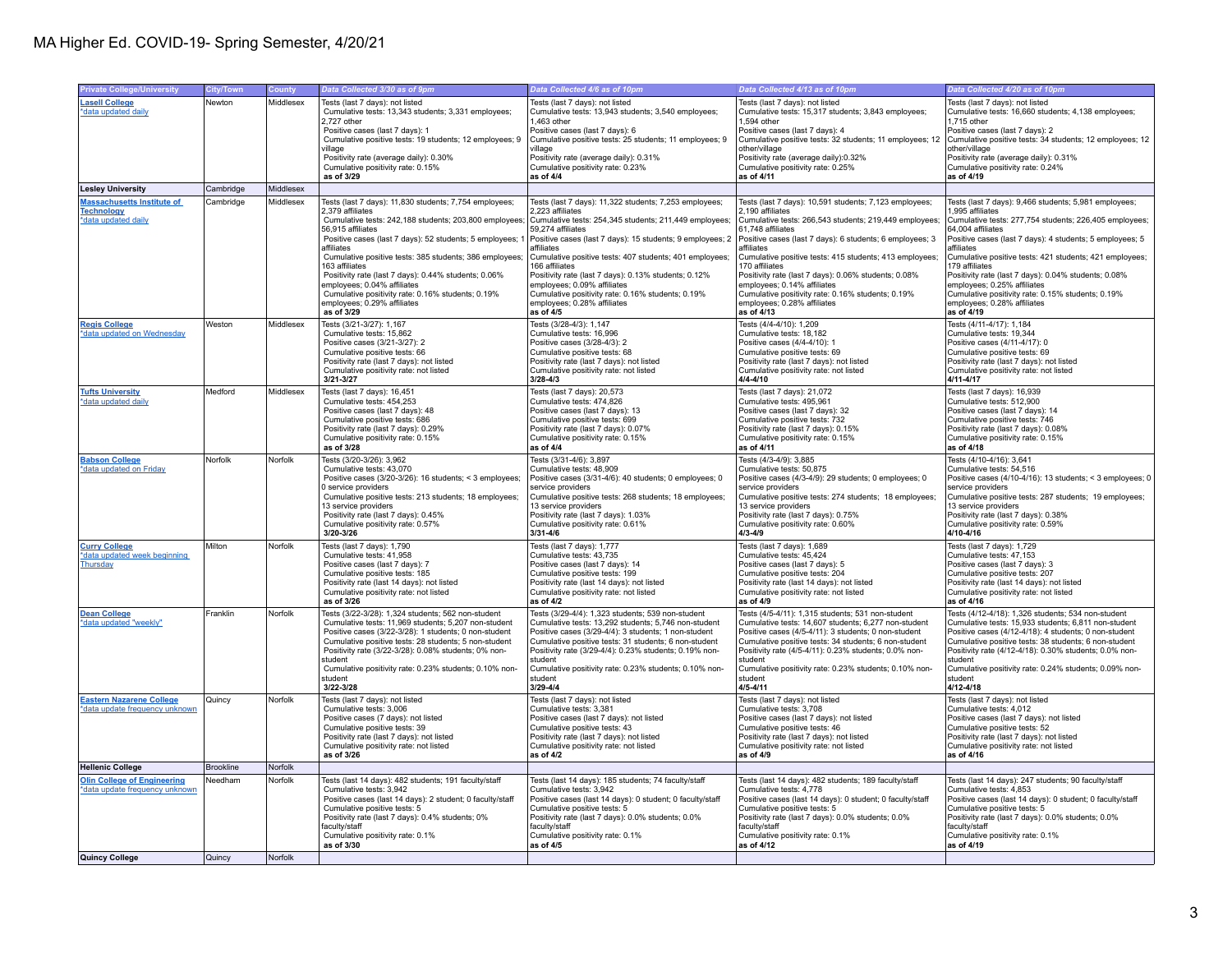## MA Higher Ed. COVID-19- Spring Semester, 4/20/21

| <b>Private College/University</b>                    | <b>City/Town</b> | County    | Data Collected 3/30 as of 9pm                                                                              | Data Collected 4/6 as of 10pm                                                                             | Data Collected 4/13 as of 10pm                                                                            | Data Collected 4/20 as of 10pm                                                                             |
|------------------------------------------------------|------------------|-----------|------------------------------------------------------------------------------------------------------------|-----------------------------------------------------------------------------------------------------------|-----------------------------------------------------------------------------------------------------------|------------------------------------------------------------------------------------------------------------|
| <b>Lasell College</b>                                | Newton           | Middlesex | Tests (last 7 days): not listed                                                                            | Tests (last 7 days): not listed                                                                           | Tests (last 7 days): not listed                                                                           | Tests (last 7 days): not listed                                                                            |
| *data updated daily                                  |                  |           | Cumulative tests: 13,343 students; 3,331 employees;                                                        | Cumulative tests: 13,943 students; 3,540 employees;                                                       | Cumulative tests: 15,317 students; 3,843 employees;                                                       | Cumulative tests: 16,660 students; 4,138 employees;                                                        |
|                                                      |                  |           | 2.727 other                                                                                                | 1.463 other                                                                                               | 1.594 other                                                                                               | 1.715 other                                                                                                |
|                                                      |                  |           | Positive cases (last 7 days): 1                                                                            | Positive cases (last 7 days): 6                                                                           | Positive cases (last 7 days): 4                                                                           | Positive cases (last 7 days): 2                                                                            |
|                                                      |                  |           | Cumulative positive tests: 19 students; 12 employees; 9                                                    | Cumulative positive tests: 25 students; 11 employees; 9                                                   | Cumulative positive tests: 32 students; 11 employees; 12                                                  | Cumulative positive tests: 34 students; 12 employees; 12                                                   |
|                                                      |                  |           | village<br>Positivity rate (average daily): 0.30%                                                          | village<br>Positivity rate (average daily): 0.31%                                                         | other/village<br>Positivity rate (average daily):0.32%                                                    | other/village<br>Positivity rate (average daily): 0.31%                                                    |
|                                                      |                  |           | Cumulative positivity rate: 0.15%                                                                          | Cumulative positivity rate: 0.23%                                                                         | Cumulative positivity rate: 0.25%                                                                         | Cumulative positivity rate: 0.24%                                                                          |
|                                                      |                  |           | as of 3/29                                                                                                 | as of 4/4                                                                                                 | as of 4/11                                                                                                | as of 4/19                                                                                                 |
| <b>Lesley University</b>                             | Cambridge        | Middlesex |                                                                                                            |                                                                                                           |                                                                                                           |                                                                                                            |
| <b>Massachusetts Institute of</b>                    | Cambridge        | Middlesex | Tests (last 7 days): 11,830 students; 7,754 employees;                                                     | Tests (last 7 days): 11,322 students; 7,253 employees;                                                    | Tests (last 7 days): 10,591 students; 7,123 employees;                                                    | Tests (last 7 days): 9,466 students; 5,981 employees;                                                      |
| <b>Technology</b>                                    |                  |           | 2.379 affiliates                                                                                           | 2.223 affiliates                                                                                          | 2.190 affiliates                                                                                          | 995 affiliates                                                                                             |
| *data updated daily                                  |                  |           | Cumulative tests: 242,188 students; 203,800 employees;                                                     | Cumulative tests: 254,345 students; 211,449 employees;                                                    | Cumulative tests: 266,543 students; 219,449 employees;                                                    | Cumulative tests: 277,754 students; 226,405 employees:                                                     |
|                                                      |                  |           | 56,915 affiliates                                                                                          | 59,274 affiliates                                                                                         | 61.748 affiliates                                                                                         | 64,004 affiliates                                                                                          |
|                                                      |                  |           | Positive cases (last 7 days): 52 students; 5 employees; 1<br>affiliates                                    | Positive cases (last 7 days): 15 students; 9 employees; 2<br>affiliates                                   | Positive cases (last 7 days): 6 students; 6 employees; 3<br>affiliates                                    | Positive cases (last 7 days): 4 students; 5 employees; 5<br>affiliates                                     |
|                                                      |                  |           | Cumulative positive tests: 385 students; 386 employees;                                                    | Cumulative positive tests: 407 students; 401 employees;                                                   | Cumulative positive tests: 415 students; 413 employees;                                                   | Cumulative positive tests: 421 students; 421 employees;                                                    |
|                                                      |                  |           | 163 affiliates                                                                                             | 166 affiliates                                                                                            | 170 affiliates                                                                                            | 79 affiliates                                                                                              |
|                                                      |                  |           | Positivity rate (last 7 days): 0.44% students; 0.06%                                                       | Positivity rate (last 7 days): 0.13% students; 0.12%                                                      | Positivity rate (last 7 days): 0.06% students; 0.08%                                                      | Positivity rate (last 7 days): 0.04% students; 0.08%                                                       |
|                                                      |                  |           | employees; 0.04% affiliates                                                                                | employees; 0.09% affiliates                                                                               | employees; 0.14% affiliates                                                                               | employees; 0.25% affiliates                                                                                |
|                                                      |                  |           | Cumulative positivity rate: 0.16% students; 0.19%                                                          | Cumulative positivity rate: 0.16% students; 0.19%                                                         | Cumulative positivity rate: 0.16% students; 0.19%                                                         | Cumulative positivity rate: 0.15% students; 0.19%                                                          |
|                                                      |                  |           | employees; 0.29% affiliates<br>as of 3/29                                                                  | employees; 0.28% affiliates<br>as of 4/5                                                                  | employees; 0.28% affiliates<br>as of 4/13                                                                 | employees; 0.28% affiliates<br>as of 4/19                                                                  |
| <b>Regis College</b>                                 | Weston           | Middlesex | Tests (3/21-3/27): 1,167                                                                                   | Tests (3/28-4/3): 1,147                                                                                   | Tests (4/4-4/10): 1,209                                                                                   | Tests (4/11-4/17): 1,184                                                                                   |
| *data updated on Wednesday                           |                  |           | Cumulative tests: 15.862                                                                                   | Cumulative tests: 16,996                                                                                  | Cumulative tests: 18.182                                                                                  | Cumulative tests: 19.344                                                                                   |
|                                                      |                  |           | Positive cases (3/21-3/27): 2                                                                              | Positive cases (3/28-4/3): 2                                                                              | Positive cases (4/4-4/10): 1                                                                              | Positive cases (4/11-4/17): 0                                                                              |
|                                                      |                  |           | Cumulative positive tests: 66                                                                              | Cumulative positive tests: 68                                                                             | Cumulative positive tests: 69                                                                             | Cumulative positive tests: 69                                                                              |
|                                                      |                  |           | Positivity rate (last 7 days): not listed                                                                  | Positivity rate (last 7 days): not listed                                                                 | Positivity rate (last 7 days): not listed                                                                 | Positivity rate (last 7 days): not listed                                                                  |
|                                                      |                  |           | Cumulative positivity rate: not listed                                                                     | Cumulative positivity rate: not listed<br>3/28-4/3                                                        | Cumulative positivity rate: not listed<br>$4/4 - 4/10$                                                    | Cumulative positivity rate: not listed<br>$4/11 - 4/17$                                                    |
|                                                      |                  |           | 3/21-3/27                                                                                                  |                                                                                                           |                                                                                                           |                                                                                                            |
| <b>Tufts University</b><br>*data updated daily       | Medford          | Middlesex | Tests (last 7 days): 16,451<br>Cumulative tests: 454.253                                                   | Tests (last 7 days): 20,573<br>Cumulative tests: 474.826                                                  | Tests (last 7 days): 21,072<br>Cumulative tests: 495.961                                                  | Tests (last 7 days): 16,939<br>Cumulative tests: 512.900                                                   |
|                                                      |                  |           | Positive cases (last 7 days): 48                                                                           | Positive cases (last 7 days): 13                                                                          | Positive cases (last 7 days): 32                                                                          | Positive cases (last 7 days): 14                                                                           |
|                                                      |                  |           | Cumulative positive tests: 686                                                                             | Cumulative positive tests: 699                                                                            | Cumulative positive tests: 732                                                                            | Cumulative positive tests: 746                                                                             |
|                                                      |                  |           | Positivity rate (last 7 days): 0.29%                                                                       | Positivity rate (last 7 days): 0.07%                                                                      | Positivity rate (last 7 days): 0.15%                                                                      | Positivity rate (last 7 days): 0.08%                                                                       |
|                                                      |                  |           | Cumulative positivity rate: 0.15%                                                                          | Cumulative positivity rate: 0.15%                                                                         | Cumulative positivity rate: 0.15%                                                                         | Cumulative positivity rate: 0.15%                                                                          |
|                                                      |                  |           | as of 3/28                                                                                                 | as of 4/4                                                                                                 | as of 4/11                                                                                                | as of 4/18                                                                                                 |
| <b>Babson College</b>                                | Norfolk          | Norfolk   | Tests (3/20-3/26): 3,962                                                                                   | Tests (3/31-4/6): 3,897                                                                                   | Tests (4/3-4/9): 3,885                                                                                    | Tests (4/10-4/16): 3,641                                                                                   |
| *data updated on Friday                              |                  |           | Cumulative tests: 43.070                                                                                   | Cumulative tests: 48.909                                                                                  | Cumulative tests: 50.875                                                                                  | Cumulative tests: 54.516                                                                                   |
|                                                      |                  |           | Positive cases (3/20-3/26): 16 students; < 3 employees;<br>0 service providers                             | Positive cases (3/31-4/6): 40 students; 0 employees; 0<br>service providers                               | Positive cases (4/3-4/9): 29 students; 0 employees; 0<br>service providers                                | Positive cases (4/10-4/16): 13 students; < 3 employees; 0<br>service providers                             |
|                                                      |                  |           | Cumulative positive tests: 213 students; 18 employees;                                                     | Cumulative positive tests: 268 students; 18 employees;                                                    | Cumulative positive tests: 274 students; 18 employees;                                                    | Cumulative positive tests: 287 students; 19 employees;                                                     |
|                                                      |                  |           | 13 service providers                                                                                       | 13 service providers                                                                                      | 13 service providers                                                                                      | 13 service providers                                                                                       |
|                                                      |                  |           | Positivity rate (last 7 days): 0.45%                                                                       | Positivity rate (last 7 days): 1.03%                                                                      | Positivity rate (last 7 days): 0.75%                                                                      | Positivity rate (last 7 days): 0.38%                                                                       |
|                                                      |                  |           | Cumulative positivity rate: 0.57%                                                                          | Cumulative positivity rate: 0.61%                                                                         | Cumulative positivity rate: 0.60%                                                                         | Cumulative positivity rate: 0.59%                                                                          |
|                                                      |                  |           | 3/20-3/26                                                                                                  | 3/31-4/6                                                                                                  | $4/3 - 4/9$                                                                                               | 4/10-4/16                                                                                                  |
| <b>Curry College</b><br>*data updated week beginning | Milton           | Norfolk   | Tests (last 7 days): 1,790<br>Cumulative tests: 41,958                                                     | Tests (last 7 days): 1,777<br>Cumulative tests: 43,735                                                    | Tests (last 7 days): 1,689<br>Cumulative tests: 45,424                                                    | Tests (last 7 days): 1,729<br>Cumulative tests: 47,153                                                     |
| Thursday                                             |                  |           | Positive cases (last 7 days): 7                                                                            | Positive cases (last 7 days): 14                                                                          | Positive cases (last 7 days): 5                                                                           | Positive cases (last 7 days): 3                                                                            |
|                                                      |                  |           | Cumulative positive tests: 185                                                                             | Cumulative positive tests: 199                                                                            | Cumulative positive tests: 204                                                                            | Cumulative positive tests: 207                                                                             |
|                                                      |                  |           | Positivity rate (last 14 days): not listed                                                                 | Positivity rate (last 14 days): not listed                                                                | Positivity rate (last 14 days): not listed                                                                | Positivity rate (last 14 days): not listed                                                                 |
|                                                      |                  |           | Cumulative positivity rate: not listed                                                                     | Cumulative positivity rate: not listed                                                                    | Cumulative positivity rate: not listed                                                                    | Cumulative positivity rate: not listed                                                                     |
|                                                      |                  |           | as of 3/26                                                                                                 | as of 4/2                                                                                                 | as of 4/9                                                                                                 | as of 4/16                                                                                                 |
| <b>Dean College</b><br>*data updated "weekly"        | Franklin         | Norfolk   | Tests (3/22-3/28): 1,324 students; 562 non-student<br>Cumulative tests: 11,969 students: 5,207 non-student | Tests (3/29-4/4): 1,323 students; 539 non-student<br>Cumulative tests: 13.292 students: 5.746 non-student | Tests (4/5-4/11): 1,315 students; 531 non-student<br>Cumulative tests: 14,607 students: 6,277 non-student | Tests (4/12-4/18): 1,326 students; 534 non-student<br>Cumulative tests: 15.933 students: 6.811 non-student |
|                                                      |                  |           | Positive cases (3/22-3/28): 1 students; 0 non-student                                                      | Positive cases (3/29-4/4): 3 students; 1 non-student                                                      | Positive cases (4/5-4/11): 3 students; 0 non-student                                                      | Positive cases (4/12-4/18): 4 students; 0 non-student                                                      |
|                                                      |                  |           | Cumulative positive tests: 28 students: 5 non-student                                                      | Cumulative positive tests: 31 students: 6 non-student                                                     | Cumulative positive tests: 34 students: 6 non-student                                                     | Cumulative positive tests: 38 students: 6 non-student                                                      |
|                                                      |                  |           | Positivity rate (3/22-3/28): 0.08% students; 0% non-                                                       | Positivity rate (3/29-4/4): 0.23% students; 0.19% non-                                                    | Positivity rate (4/5-4/11): 0.23% students; 0.0% non-                                                     | Positivity rate (4/12-4/18): 0.30% students; 0.0% non-                                                     |
|                                                      |                  |           | student                                                                                                    | student                                                                                                   | student                                                                                                   | student                                                                                                    |
|                                                      |                  |           | Cumulative positivity rate: 0.23% students; 0.10% non-<br>student                                          | Cumulative positivity rate: 0.23% students; 0.10% non-<br>student                                         | Cumulative positivity rate: 0.23% students; 0.10% non-<br>student                                         | Cumulative positivity rate: 0.24% students; 0.09% non-<br>student                                          |
|                                                      |                  |           | 3/22-3/28                                                                                                  | 3/29-4/4                                                                                                  | $4/5 - 4/11$                                                                                              | 4/12-4/18                                                                                                  |
| <b>Eastern Nazarene College</b>                      | Quincy           | Norfolk   | Tests (last 7 days): not listed                                                                            | Tests (last 7 days): not listed                                                                           | Tests (last 7 days): not listed                                                                           | Tests (last 7 days): not listed                                                                            |
| *data update frequency unknown                       |                  |           | Cumulative tests: 3,006                                                                                    | Cumulative tests: 3,381                                                                                   | Cumulative tests: 3,708                                                                                   | Cumulative tests: 4,012                                                                                    |
|                                                      |                  |           | Positive cases (7 days): not listed                                                                        | Positive cases (last 7 days): not listed                                                                  | Positive cases (last 7 days): not listed                                                                  | Positive cases (last 7 days): not listed                                                                   |
|                                                      |                  |           | Cumulative positive tests: 39                                                                              | Cumulative positive tests: 43                                                                             | Cumulative positive tests: 46                                                                             | Cumulative positive tests: 52                                                                              |
|                                                      |                  |           | Positivity rate (last 7 days): not listed<br>Cumulative positivity rate: not listed                        | Positivity rate (last 7 days): not listed                                                                 | Positivity rate (last 7 days): not listed<br>Cumulative positivity rate: not listed                       | Positivity rate (last 7 days): not listed                                                                  |
|                                                      |                  |           | as of 3/26                                                                                                 | Cumulative positivity rate: not listed<br>as of 4/2                                                       | as of 4/9                                                                                                 | Cumulative positivity rate: not listed<br>as of 4/16                                                       |
| <b>Hellenic College</b>                              | Brookline        | Norfolk   |                                                                                                            |                                                                                                           |                                                                                                           |                                                                                                            |
| <b>Olin College of Engineering</b>                   | Needham          | Norfolk   | Tests (last 14 days): 482 students; 191 faculty/staff                                                      | Tests (last 14 days): 185 students; 74 faculty/staff                                                      | Tests (last 14 days): 482 students; 189 faculty/staff                                                     | Tests (last 14 days): 247 students; 90 faculty/staff                                                       |
| data update frequency unknown                        |                  |           | Cumulative tests: 3,942                                                                                    | Cumulative tests: 3,942                                                                                   | Cumulative tests: 4,778                                                                                   | Cumulative tests: 4,853                                                                                    |
|                                                      |                  |           | Positive cases (last 14 days): 2 student; 0 faculty/staff                                                  | Positive cases (last 14 days): 0 student; 0 faculty/staff                                                 | Positive cases (last 14 days): 0 student; 0 faculty/staff                                                 | Positive cases (last 14 days): 0 student; 0 faculty/staff                                                  |
|                                                      |                  |           | Cumulative positive tests: 5                                                                               | Cumulative positive tests: 5                                                                              | Cumulative positive tests: 5                                                                              | Cumulative positive tests: 5                                                                               |
|                                                      |                  |           | Positivity rate (last 7 days): 0.4% students; 0%<br>faculty/staff                                          | Positivity rate (last 7 days): 0.0% students; 0.0%<br>faculty/staff                                       | Positivity rate (last 7 days): 0.0% students; 0.0%<br>faculty/staff                                       | Positivity rate (last 7 days): 0.0% students; 0.0%<br>faculty/staff                                        |
|                                                      |                  |           | Cumulative positivity rate: 0.1%                                                                           | Cumulative positivity rate: 0.1%                                                                          | Cumulative positivity rate: 0.1%                                                                          | Cumulative positivity rate: 0.1%                                                                           |
|                                                      |                  |           | as of 3/30                                                                                                 | as of 4/5                                                                                                 | as of 4/12                                                                                                | as of 4/19                                                                                                 |
| Quincy College                                       | Quincy           | Norfolk   |                                                                                                            |                                                                                                           |                                                                                                           |                                                                                                            |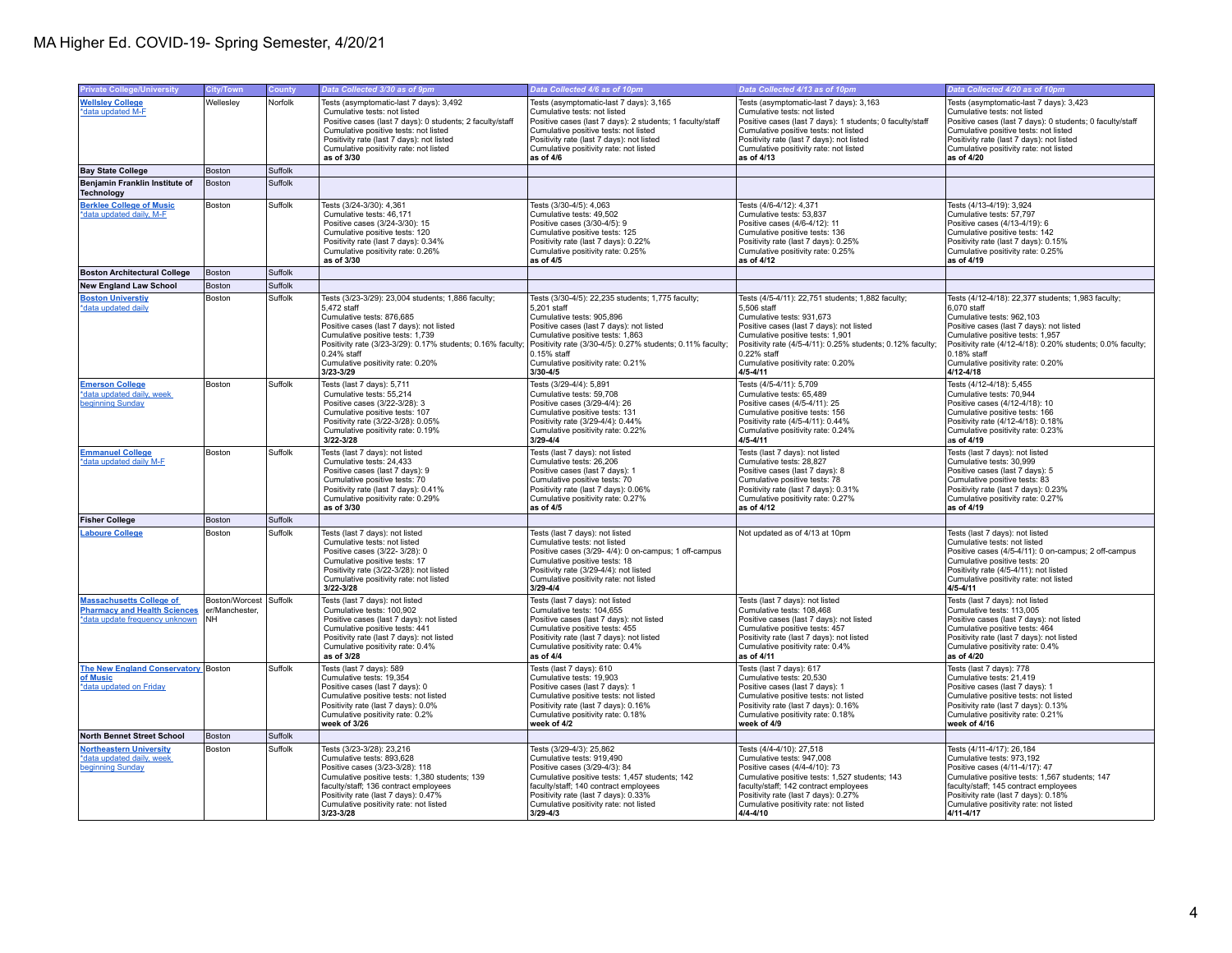| <b>Private College/University</b>                                                                  | <b>City/Town</b>                                 | County  | Data Collected 3/30 as of 9pm                                                                                                                                                                                                                                                                                  | Data Collected 4/6 as of 10pm                                                                                                                                                                                                                                                                                 | Data Collected 4/13 as of 10pm                                                                                                                                                                                                                                                                                  | Data Collected 4/20 as of 10pm                                                                                                                                                                                                                                                                                    |
|----------------------------------------------------------------------------------------------------|--------------------------------------------------|---------|----------------------------------------------------------------------------------------------------------------------------------------------------------------------------------------------------------------------------------------------------------------------------------------------------------------|---------------------------------------------------------------------------------------------------------------------------------------------------------------------------------------------------------------------------------------------------------------------------------------------------------------|-----------------------------------------------------------------------------------------------------------------------------------------------------------------------------------------------------------------------------------------------------------------------------------------------------------------|-------------------------------------------------------------------------------------------------------------------------------------------------------------------------------------------------------------------------------------------------------------------------------------------------------------------|
| <b>Wellsley College</b><br>*data updated M-F                                                       | Wellesley                                        | Norfolk | Tests (asymptomatic-last 7 days): 3,492<br>Cumulative tests: not listed<br>Positive cases (last 7 days): 0 students; 2 faculty/staff<br>Cumulative positive tests: not listed<br>Positivity rate (last 7 days): not listed<br>Cumulative positivity rate: not listed<br>as of 3/30                             | Tests (asymptomatic-last 7 days): 3,165<br>Cumulative tests: not listed<br>Positive cases (last 7 days): 2 students; 1 faculty/staff<br>Cumulative positive tests: not listed<br>Positivity rate (last 7 days): not listed<br>Cumulative positivity rate: not listed<br>as of 4/6                             | Tests (asymptomatic-last 7 days): 3,163<br>Cumulative tests: not listed<br>Positive cases (last 7 days): 1 students; 0 faculty/staff<br>Cumulative positive tests: not listed<br>Positivity rate (last 7 days): not listed<br>Cumulative positivity rate: not listed<br>as of 4/13                              | Tests (asymptomatic-last 7 days): 3,423<br>Cumulative tests: not listed<br>Positive cases (last 7 days): 0 students; 0 faculty/staff<br>Cumulative positive tests: not listed<br>Positivity rate (last 7 days): not listed<br>Cumulative positivity rate: not listed<br>as of 4/20                                |
| <b>Bay State College</b>                                                                           | Boston                                           | Suffolk |                                                                                                                                                                                                                                                                                                                |                                                                                                                                                                                                                                                                                                               |                                                                                                                                                                                                                                                                                                                 |                                                                                                                                                                                                                                                                                                                   |
| Benjamin Franklin Institute of<br><b>Technology</b>                                                | Boston                                           | Suffolk |                                                                                                                                                                                                                                                                                                                |                                                                                                                                                                                                                                                                                                               |                                                                                                                                                                                                                                                                                                                 |                                                                                                                                                                                                                                                                                                                   |
| <b>Berklee College of Music</b><br>*data updated daily, M-F                                        | Boston                                           | Suffolk | Tests (3/24-3/30): 4,361<br>Cumulative tests: 46.171<br>Positive cases (3/24-3/30): 15<br>Cumulative positive tests: 120<br>Positivity rate (last 7 days): 0.34%<br>Cumulative positivity rate: 0.26%<br>as of 3/30                                                                                            | Tests (3/30-4/5): 4,063<br>Cumulative tests: 49.502<br>Positive cases (3/30-4/5): 9<br>Cumulative positive tests: 125<br>Positivity rate (last 7 days): 0.22%<br>Cumulative positivity rate: 0.25%<br>as of 4/5                                                                                               | Tests (4/6-4/12): 4,371<br>Cumulative tests: 53.837<br>Positive cases (4/6-4/12): 11<br>Cumulative positive tests: 136<br>Positivity rate (last 7 days): 0.25%<br>Cumulative positivity rate: 0.25%<br>as of 4/12                                                                                               | Tests (4/13-4/19): 3,924<br>Cumulative tests: 57.797<br>Positive cases (4/13-4/19): 6<br>Cumulative positive tests: 142<br>Positivity rate (last 7 days): 0.15%<br>Cumulative positivity rate: 0.25%<br>as of 4/19                                                                                                |
| <b>Boston Architectural College</b>                                                                | Boston                                           | Suffolk |                                                                                                                                                                                                                                                                                                                |                                                                                                                                                                                                                                                                                                               |                                                                                                                                                                                                                                                                                                                 |                                                                                                                                                                                                                                                                                                                   |
| <b>New England Law School</b>                                                                      | Boston                                           | Suffolk |                                                                                                                                                                                                                                                                                                                |                                                                                                                                                                                                                                                                                                               |                                                                                                                                                                                                                                                                                                                 |                                                                                                                                                                                                                                                                                                                   |
| <b>Boston Universtiy</b><br>*data updated daily                                                    | Boston                                           | Suffolk | Tests (3/23-3/29): 23,004 students; 1,886 faculty;<br>5,472 staff<br>Cumulative tests: 876,685<br>Positive cases (last 7 days): not listed<br>Cumulative positive tests: 1.739<br>Positivity rate (3/23-3/29): 0.17% students; 0.16% faculty;<br>0.24% staff<br>Cumulative positivity rate: 0.20%<br>3/23-3/29 | Tests (3/30-4/5): 22,235 students; 1,775 faculty;<br>5,201 staff<br>Cumulative tests: 905,896<br>Positive cases (last 7 days): not listed<br>Cumulative positive tests: 1.863<br>Positivity rate (3/30-4/5): 0.27% students; 0.11% faculty;<br>$0.15%$ staff<br>Cumulative positivity rate: 0.21%<br>3/30-4/5 | Tests (4/5-4/11): 22,751 students; 1,882 faculty;<br>5,506 staff<br>Cumulative tests: 931,673<br>Positive cases (last 7 days): not listed<br>Cumulative positive tests: 1.901<br>Positivity rate (4/5-4/11): 0.25% students; 0.12% faculty;<br>0.22% staff<br>Cumulative positivity rate: 0.20%<br>$4/5 - 4/11$ | Tests (4/12-4/18): 22,377 students; 1,983 faculty;<br>6,070 staff<br>Cumulative tests: 962,103<br>Positive cases (last 7 days): not listed<br>Cumulative positive tests: 1.957<br>Positivity rate (4/12-4/18): 0.20% students; 0.0% faculty;<br>0.18% staff<br>Cumulative positivity rate: 0.20%<br>$4/12 - 4/18$ |
| <b>Emerson College</b><br>*data updated daily, week<br>beginning Sunday                            | Boston                                           | Suffolk | Tests (last 7 days): 5,711<br>Cumulative tests: 55,214<br>Positive cases (3/22-3/28): 3<br>Cumulative positive tests: 107<br>Positivity rate (3/22-3/28): 0.05%<br>Cumulative positivity rate: 0.19%<br>3/22-3/28                                                                                              | Tests (3/29-4/4): 5,891<br>Cumulative tests: 59,708<br>Positive cases (3/29-4/4): 26<br>Cumulative positive tests: 131<br>Positivity rate (3/29-4/4): 0.44%<br>Cumulative positivity rate: 0.22%<br>$3/29 - 4/4$                                                                                              | Tests (4/5-4/11): 5,709<br>Cumulative tests: 65,489<br>Positive cases (4/5-4/11): 25<br>Cumulative positive tests: 156<br>Positivity rate (4/5-4/11): 0.44%<br>Cumulative positivity rate: 0.24%<br>$4/5 - 4/11$                                                                                                | Tests (4/12-4/18): 5,455<br>Cumulative tests: 70,944<br>Positive cases (4/12-4/18): 10<br>Cumulative positive tests: 166<br>Positivity rate (4/12-4/18): 0.18%<br>Cumulative positivity rate: 0.23%<br>as of 4/19                                                                                                 |
| <b>Emmanuel College</b><br>*data updated daily M-F                                                 | Boston                                           | Suffolk | Tests (last 7 days): not listed<br>Cumulative tests: 24,433<br>Positive cases (last 7 days): 9<br>Cumulative positive tests: 70<br>Positivity rate (last 7 days): 0.41%<br>Cumulative positivity rate: 0.29%<br>as of 3/30                                                                                     | Tests (last 7 days): not listed<br>Cumulative tests: 26,206<br>Positive cases (last 7 days): 1<br>Cumulative positive tests: 70<br>Positivity rate (last 7 days): 0.06%<br>Cumulative positivity rate: 0.27%<br>as of 4/5                                                                                     | Tests (last 7 days): not listed<br>Cumulative tests: 28,827<br>Positive cases (last 7 days): 8<br>Cumulative positive tests: 78<br>Positivity rate (last 7 days): 0.31%<br>Cumulative positivity rate: 0.27%<br>as of 4/12                                                                                      | Tests (last 7 days): not listed<br>Cumulative tests: 30,999<br>Positive cases (last 7 days): 5<br>Cumulative positive tests: 83<br>Positivity rate (last 7 days): 0.23%<br>Cumulative positivity rate: 0.27%<br>as of 4/19                                                                                        |
| <b>Fisher College</b>                                                                              | Boston                                           | Suffolk |                                                                                                                                                                                                                                                                                                                |                                                                                                                                                                                                                                                                                                               |                                                                                                                                                                                                                                                                                                                 |                                                                                                                                                                                                                                                                                                                   |
| <b>Laboure College</b>                                                                             | Boston                                           | Suffolk | Tests (last 7 days): not listed<br>Cumulative tests: not listed<br>Positive cases (3/22-3/28): 0<br>Cumulative positive tests: 17<br>Positivity rate (3/22-3/28): not listed<br>Cumulative positivity rate: not listed<br>3/22-3/28                                                                            | Tests (last 7 days): not listed<br>Cumulative tests: not listed<br>Positive cases (3/29- 4/4): 0 on-campus; 1 off-campus<br>Cumulative positive tests: 18<br>Positivity rate (3/29-4/4): not listed<br>Cumulative positivity rate: not listed<br>$3/29 - 4/4$                                                 | Not updated as of 4/13 at 10pm                                                                                                                                                                                                                                                                                  | Tests (last 7 days): not listed<br>Cumulative tests: not listed<br>Positive cases (4/5-4/11): 0 on-campus; 2 off-campus<br>Cumulative positive tests: 20<br>Positivity rate (4/5-4/11): not listed<br>Cumulative positivity rate: not listed<br>$4/5 - 4/11$                                                      |
| <b>Massachusetts College of<br/>Pharmacy and Health Sciences</b><br>*data update frequency unknown | Boston/Worcest Suffolk<br>er/Manchester.<br>INH. |         | Tests (last 7 days): not listed<br>Cumulative tests: 100,902<br>Positive cases (last 7 days): not listed<br>Cumulative positive tests: 441<br>Positivity rate (last 7 days); not listed<br>Cumulative positivity rate: 0.4%<br>as of 3/28                                                                      | Tests (last 7 days): not listed<br>Cumulative tests: 104,655<br>Positive cases (last 7 days): not listed<br>Cumulative positive tests: 455<br>Positivity rate (last 7 days); not listed<br>Cumulative positivity rate: 0.4%<br>as of 4/4                                                                      | Tests (last 7 days): not listed<br>Cumulative tests: 108,468<br>Positive cases (last 7 days): not listed<br>Cumulative positive tests: 457<br>Positivity rate (last 7 days); not listed<br>Cumulative positivity rate: 0.4%<br>as of 4/11                                                                       | Tests (last 7 days): not listed<br>Cumulative tests: 113,005<br>Positive cases (last 7 days): not listed<br>Cumulative positive tests: 464<br>Positivity rate (last 7 days); not listed<br>Cumulative positivity rate: 0.4%<br>as of 4/20                                                                         |
| The New England Conservatory Boston<br>of Music<br>*data updated on Friday                         |                                                  | Suffolk | Tests (last 7 days): 589<br>Cumulative tests: 19.354<br>Positive cases (last 7 days): 0<br>Cumulative positive tests: not listed<br>Positivity rate (last 7 days): 0.0%<br>Cumulative positivity rate: 0.2%<br>week of 3/26                                                                                    | Tests (last 7 days): 610<br>Cumulative tests: 19.903<br>Positive cases (last 7 days): 1<br>Cumulative positive tests: not listed<br>Positivity rate (last 7 days): 0.16%<br>Cumulative positivity rate: 0.18%<br>week of 4/2                                                                                  | Tests (last 7 days): 617<br>Cumulative tests: 20.530<br>Positive cases (last 7 days): 1<br>Cumulative positive tests: not listed<br>Positivity rate (last 7 days): 0.16%<br>Cumulative positivity rate: 0.18%<br>week of 4/9                                                                                    | Tests (last 7 days): 778<br>Cumulative tests: 21.419<br>Positive cases (last 7 days): 1<br>Cumulative positive tests: not listed<br>Positivity rate (last 7 days): 0.13%<br>Cumulative positivity rate: 0.21%<br>week of 4/16                                                                                     |
| North Bennet Street School                                                                         | Boston                                           | Suffolk |                                                                                                                                                                                                                                                                                                                |                                                                                                                                                                                                                                                                                                               |                                                                                                                                                                                                                                                                                                                 |                                                                                                                                                                                                                                                                                                                   |
| <b>Northeastern University</b><br>*data updated daily, week<br>beginning Sunday                    | Boston                                           | Suffolk | Tests (3/23-3/28): 23,216<br>Cumulative tests: 893.628<br>Positive cases (3/23-3/28): 118<br>Cumulative positive tests: 1,380 students; 139<br>faculty/staff; 136 contract employees<br>Positivity rate (last 7 days): 0.47%<br>Cumulative positivity rate: not listed<br>3/23-3/28                            | Tests (3/29-4/3): 25.862<br>Cumulative tests: 919.490<br>Positive cases (3/29-4/3): 84<br>Cumulative positive tests: 1,457 students; 142<br>faculty/staff; 140 contract employees<br>Positivity rate (last 7 days): 0.33%<br>Cumulative positivity rate: not listed<br>$3/29 - 4/3$                           | Tests (4/4-4/10): 27.518<br>Cumulative tests: 947.008<br>Positive cases (4/4-4/10): 73<br>Cumulative positive tests: 1,527 students; 143<br>faculty/staff; 142 contract employees<br>Positivity rate (last 7 days): 0.27%<br>Cumulative positivity rate: not listed<br>$4/4 - 4/10$                             | Tests (4/11-4/17): 26.184<br>Cumulative tests: 973.192<br>Positive cases (4/11-4/17): 47<br>Cumulative positive tests: 1,567 students; 147<br>faculty/staff; 145 contract employees<br>Positivity rate (last 7 days): 0.18%<br>Cumulative positivity rate: not listed<br>$4/11 - 4/17$                            |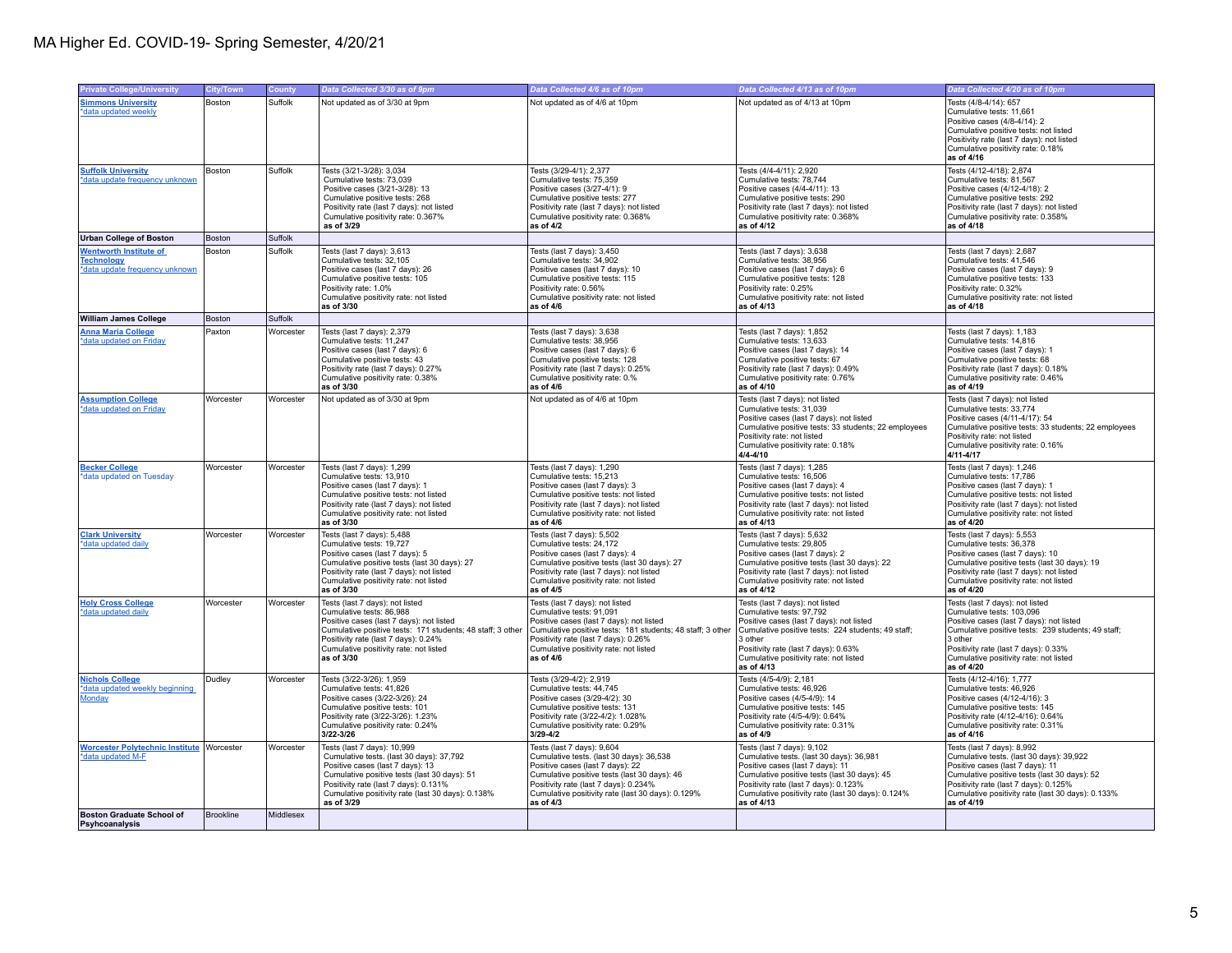| <b>Private College/University</b>                                                    | <b>City/Town</b> |           | Data Collected 3/30 as of 9pm                                                                                                                                                                                                                                           | Data Collected 4/6 as of 10pm                                                                                                                                                                                                                                         | Data Collected 4/13 as of 10pm                                                                                                                                                                                                                                           | Data Collected 4/20 as of 10pm                                                                                                                                                                                                                                            |
|--------------------------------------------------------------------------------------|------------------|-----------|-------------------------------------------------------------------------------------------------------------------------------------------------------------------------------------------------------------------------------------------------------------------------|-----------------------------------------------------------------------------------------------------------------------------------------------------------------------------------------------------------------------------------------------------------------------|--------------------------------------------------------------------------------------------------------------------------------------------------------------------------------------------------------------------------------------------------------------------------|---------------------------------------------------------------------------------------------------------------------------------------------------------------------------------------------------------------------------------------------------------------------------|
|                                                                                      |                  | County    |                                                                                                                                                                                                                                                                         |                                                                                                                                                                                                                                                                       |                                                                                                                                                                                                                                                                          |                                                                                                                                                                                                                                                                           |
| <b>Simmons University</b><br>*data updated weekly                                    | Boston           | Suffolk   | Not updated as of 3/30 at 9pm                                                                                                                                                                                                                                           | Not updated as of 4/6 at 10pm                                                                                                                                                                                                                                         | Not updated as of 4/13 at 10pm                                                                                                                                                                                                                                           | Tests (4/8-4/14): 657<br>Cumulative tests: 11,661<br>Positive cases (4/8-4/14): 2<br>Cumulative positive tests: not listed<br>Positivity rate (last 7 days): not listed<br>Cumulative positivity rate: 0.18%<br>as of 4/16                                                |
| <b>Suffolk University</b><br>*data update frequency unknown                          | Boston           | Suffolk   | Tests (3/21-3/28): 3,034<br>Cumulative tests: 73,039<br>Positive cases (3/21-3/28): 13<br>Cumulative positive tests: 268<br>Positivity rate (last 7 days): not listed<br>Cumulative positivity rate: 0.367%<br>as of 3/29                                               | Tests (3/29-4/1): 2,377<br>Cumulative tests: 75,359<br>Positive cases (3/27-4/1): 9<br>Cumulative positive tests: 277<br>Positivity rate (last 7 days): not listed<br>Cumulative positivity rate: 0.368%<br>as of 4/2                                                 | Tests (4/4-4/11): 2,920<br>Cumulative tests: 78,744<br>Positive cases (4/4-4/11): 13<br>Cumulative positive tests: 290<br>Positivity rate (last 7 days): not listed<br>Cumulative positivity rate: 0.368%<br>as of 4/12                                                  | Tests (4/12-4/18): 2,874<br>Cumulative tests: 81,567<br>Positive cases (4/12-4/18): 2<br>Cumulative positive tests: 292<br>Positivity rate (last 7 days): not listed<br>Cumulative positivity rate: 0.358%<br>as of 4/18                                                  |
| <b>Urban College of Boston</b>                                                       | Boston           | Suffolk   |                                                                                                                                                                                                                                                                         |                                                                                                                                                                                                                                                                       |                                                                                                                                                                                                                                                                          |                                                                                                                                                                                                                                                                           |
| <b>Wentworth Institute of</b><br><b>Technology</b><br>*data update frequency unknown | Boston           | Suffolk   | Tests (last 7 days): 3,613<br>Cumulative tests: 32,105<br>Positive cases (last 7 days): 26<br>Cumulative positive tests: 105<br>Positivity rate: 1.0%<br>Cumulative positivity rate: not listed<br>as of 3/30                                                           | Tests (last 7 days): 3,450<br>Cumulative tests: 34,902<br>Positive cases (last 7 days): 10<br>Cumulative positive tests: 115<br>Positivity rate: 0.56%<br>Cumulative positivity rate: not listed<br>as of 4/6                                                         | Tests (last 7 days): 3,638<br>Cumulative tests: 38,956<br>Positive cases (last 7 days): 6<br>Cumulative positive tests: 128<br>Positivity rate: 0.25%<br>Cumulative positivity rate: not listed<br>as of 4/13                                                            | Tests (last 7 days): 2,687<br>Cumulative tests: 41,546<br>Positive cases (last 7 days): 9<br>Cumulative positive tests: 133<br>Positivity rate: 0.32%<br>Cumulative positivity rate: not listed<br>as of 4/18                                                             |
| <b>William James College</b>                                                         | Boston           | Suffolk   |                                                                                                                                                                                                                                                                         |                                                                                                                                                                                                                                                                       |                                                                                                                                                                                                                                                                          |                                                                                                                                                                                                                                                                           |
| <b>Anna Maria College</b><br>*data updated on Friday                                 | Paxton           | Worcester | Tests (last 7 days): 2,379<br>Cumulative tests: 11,247<br>Positive cases (last 7 days): 6<br>Cumulative positive tests: 43<br>Positivity rate (last 7 days): 0.27%<br>Cumulative positivity rate: 0.38%<br>as of 3/30                                                   | Tests (last 7 days): 3,638<br>Cumulative tests: 38,956<br>Positive cases (last 7 days): 6<br>Cumulative positive tests: 128<br>Positivity rate (last 7 days): 0.25%<br>Cumulative positivity rate: 0.%<br>as of 4/6                                                   | Tests (last 7 days): 1,852<br>Cumulative tests: 13,633<br>Positive cases (last 7 days): 14<br>Cumulative positive tests: 67<br>Positivity rate (last 7 days): 0.49%<br>Cumulative positivity rate: 0.76%<br>as of 4/10                                                   | Tests (last 7 days): 1,183<br>Cumulative tests: 14,816<br>Positive cases (last 7 days): 1<br>Cumulative positive tests: 68<br>Positivity rate (last 7 days): 0.18%<br>Cumulative positivity rate: 0.46%<br>as of 4/19                                                     |
| <b>Assumption College</b><br>*data updated on Friday                                 | Worcester        | Worcester | Not updated as of 3/30 at 9pm                                                                                                                                                                                                                                           | Not updated as of 4/6 at 10pm                                                                                                                                                                                                                                         | Tests (last 7 days): not listed<br>Cumulative tests: 31,039<br>Positive cases (last 7 days): not listed<br>Cumulative positive tests: 33 students; 22 employees<br>Positivity rate: not listed<br>Cumulative positivity rate: 0.18%<br>4/4-4/10                          | Tests (last 7 days): not listed<br>Cumulative tests: 33,774<br>Positive cases (4/11-4/17): 54<br>Cumulative positive tests: 33 students; 22 employees<br>Positivity rate: not listed<br>Cumulative positivity rate: 0.16%<br>$4/11 - 4/17$                                |
| <b>Becker College</b><br>*data updated on Tuesday                                    | Worcester        | Worcester | Tests (last 7 days): 1,299<br>Cumulative tests: 13,910<br>Positive cases (last 7 days): 1<br>Cumulative positive tests: not listed<br>Positivity rate (last 7 days): not listed<br>Cumulative positivity rate: not listed<br>as of 3/30                                 | Tests (last 7 days): 1,290<br>Cumulative tests: 15,213<br>Positive cases (last 7 days): 3<br>Cumulative positive tests: not listed<br>Positivity rate (last 7 days): not listed<br>Cumulative positivity rate: not listed<br>as of 4/6                                | Tests (last 7 days): 1,285<br>Cumulative tests: 16,506<br>Positive cases (last 7 days): 4<br>Cumulative positive tests: not listed<br>Positivity rate (last 7 days): not listed<br>Cumulative positivity rate: not listed<br>as of 4/13                                  | Tests (last 7 days): 1,246<br>Cumulative tests: 17,786<br>Positive cases (last 7 days): 1<br>Cumulative positive tests: not listed<br>Positivity rate (last 7 days): not listed<br>Cumulative positivity rate: not listed<br>as of 4/20                                   |
| <b>Clark University</b><br>*data updated daily                                       | Worcester        | Worcester | Tests (last 7 days): 5,488<br>Cumulative tests: 19,727<br>Positive cases (last 7 days): 5<br>Cumulative positive tests (last 30 days): 27<br>Positivity rate (last 7 days): not listed<br>Cumulative positivity rate: not listed<br>as of 3/30                          | Tests (last 7 days): 5,502<br>Cumulative tests: 24,172<br>Positive cases (last 7 days): 4<br>Cumulative positive tests (last 30 days): 27<br>Positivity rate (last 7 days): not listed<br>Cumulative positivity rate: not listed<br>as of 4/5                         | Tests (last 7 days): 5,632<br>Cumulative tests: 29,805<br>Positive cases (last 7 days): 2<br>Cumulative positive tests (last 30 days): 22<br>Positivity rate (last 7 days): not listed<br>Cumulative positivity rate: not listed<br>as of 4/12                           | Tests (last 7 days): 5,553<br>Cumulative tests: 36,378<br>Positive cases (last 7 days): 10<br>Cumulative positive tests (last 30 days): 19<br>Positivity rate (last 7 days): not listed<br>Cumulative positivity rate: not listed<br>as of 4/20                           |
| <b>Holy Cross College</b><br>*data updated daily                                     | Worcester        | Worcester | Tests (last 7 days): not listed<br>Cumulative tests: 86,988<br>Positive cases (last 7 days): not listed<br>Cumulative positive tests: 171 students; 48 staff; 3 other<br>Positivity rate (last 7 days): 0.24%<br>Cumulative positivity rate: not listed<br>as of 3/30   | Tests (last 7 days): not listed<br>Cumulative tests: 91,091<br>Positive cases (last 7 days): not listed<br>Cumulative positive tests: 181 students; 48 staff; 3 other<br>Positivity rate (last 7 days): 0.26%<br>Cumulative positivity rate: not listed<br>as of 4/6  | Tests (last 7 days): not listed<br>Cumulative tests: 97,792<br>Positive cases (last 7 days): not listed<br>Cumulative positive tests: 224 students; 49 staff;<br>3 other<br>Positivity rate (last 7 days): 0.63%<br>Cumulative positivity rate: not listed<br>as of 4/13 | Tests (last 7 days): not listed<br>Cumulative tests: 103,096<br>Positive cases (last 7 days): not listed<br>Cumulative positive tests: 239 students; 49 staff;<br>3 other<br>Positivity rate (last 7 days): 0.33%<br>Cumulative positivity rate: not listed<br>as of 4/20 |
| <b>Nichols College</b><br>*data updated weekly beginning<br>Monday                   | Dudley           | Worcester | Tests (3/22-3/26): 1,959<br>Cumulative tests: 41,826<br>Positive cases (3/22-3/26): 24<br>Cumulative positive tests: 101<br>Positivity rate (3/22-3/26): 1.23%<br>Cumulative positivity rate: 0.24%<br>3/22-3/26                                                        | Tests (3/29-4/2): 2,919<br>Cumulative tests: 44,745<br>Positive cases (3/29-4/2): 30<br>Cumulative positive tests: 131<br>Positivity rate (3/22-4/2): 1.028%<br>Cumulative positivity rate: 0.29%<br>$3/29 - 4/2$                                                     | Tests (4/5-4/9): 2,181<br>Cumulative tests: 46,926<br>Positive cases (4/5-4/9): 14<br>Cumulative positive tests: 145<br>Positivity rate (4/5-4/9): 0.64%<br>Cumulative positivity rate: 0.31%<br>as of 4/9                                                               | Tests (4/12-4/16): 1,777<br>Cumulative tests: 46,926<br>Positive cases (4/12-4/16): 3<br>Cumulative positive tests: 145<br>Positivity rate (4/12-4/16): 0.64%<br>Cumulative positivity rate: 0.31%<br>as of 4/16                                                          |
| <b>Worcester Polytechnic Institute Worcester</b><br>*data updated M-F                |                  | Worcester | Tests (last 7 days): 10,999<br>Cumulative tests. (last 30 days): 37,792<br>Positive cases (last 7 days): 13<br>Cumulative positive tests (last 30 days): 51<br>Positivity rate (last 7 days): 0.131%<br>Cumulative positivity rate (last 30 days): 0.138%<br>as of 3/29 | Tests (last 7 days): 9,604<br>Cumulative tests. (last 30 days): 36,538<br>Positive cases (last 7 days): 22<br>Cumulative positive tests (last 30 days): 46<br>Positivity rate (last 7 days): 0.234%<br>Cumulative positivity rate (last 30 days): 0.129%<br>as of 4/3 | Tests (last 7 days): 9,102<br>Cumulative tests. (last 30 days): 36,981<br>Positive cases (last 7 days): 11<br>Cumulative positive tests (last 30 days): 45<br>Positivity rate (last 7 days): 0.123%<br>Cumulative positivity rate (last 30 days): 0.124%<br>as of 4/13   | Tests (last 7 days): 8,992<br>Cumulative tests. (last 30 days): 39,922<br>Positive cases (last 7 days): 11<br>Cumulative positive tests (last 30 days): 52<br>Positivity rate (last 7 days): 0.125%<br>Cumulative positivity rate (last 30 days): 0.133%<br>as of 4/19    |
| <b>Boston Graduate School of</b><br>Psyhcoanalysis                                   | Brookline        | Middlesex |                                                                                                                                                                                                                                                                         |                                                                                                                                                                                                                                                                       |                                                                                                                                                                                                                                                                          |                                                                                                                                                                                                                                                                           |